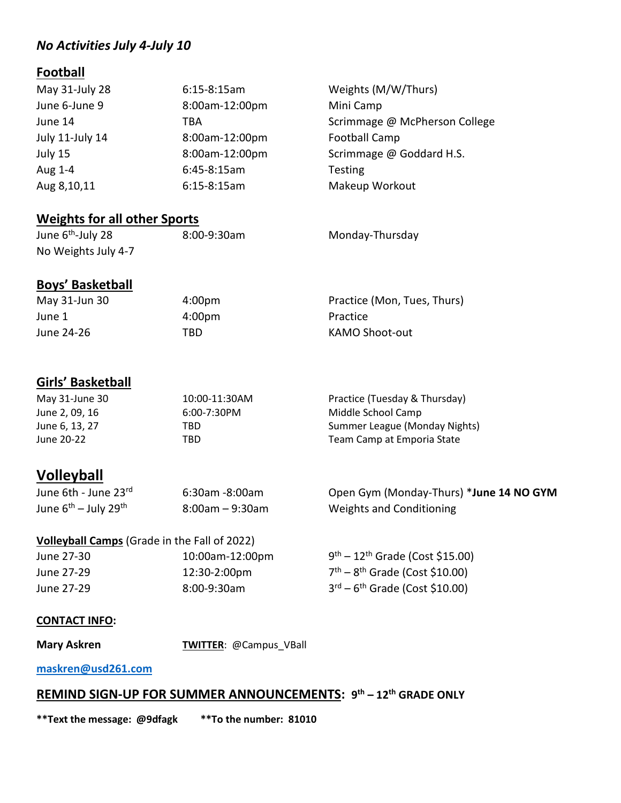## *No Activities July 4-July 10*

# **Football**

| May 31-July 28  | $6:15-8:15am$  | Weights (M/W/Thurs)           |
|-----------------|----------------|-------------------------------|
| June 6-June 9   | 8:00am-12:00pm | Mini Camp                     |
| June 14         | TBA            | Scrimmage @ McPherson College |
| July 11-July 14 | 8:00am-12:00pm | <b>Football Camp</b>          |
| July 15         | 8:00am-12:00pm | Scrimmage @ Goddard H.S.      |
| Aug 1-4         | $6:45-8:15am$  | <b>Testing</b>                |
| Aug 8,10,11     | $6:15-8:15am$  | Makeup Workout                |

# **Weights for all other Sports**

| June 6 <sup>th</sup> -July 28 | $8:00 - 9:30$ am | Monday-Thursday |
|-------------------------------|------------------|-----------------|
| No Weights July 4-7           |                  |                 |
|                               |                  |                 |

# **Boys' Basketball**<br>May 31-Jun 30 4:00pm Practice (Mon, Tues, Thurs)

June 1 **4:00pm** Practice

June 24-26 TBD TERN KAMO Shoot-out

# **Girls' Basketball**

| May 31-June 30 | 10:00-11:30AM    | Practice (Tuesday & Thursday) |
|----------------|------------------|-------------------------------|
| June 2, 09, 16 | $6:00 - 7:30$ PM | Middle School Camp            |
| June 6, 13, 27 | TBD              | Summer League (Monday Nights) |
| June 20-22     | TBD              | Team Camp at Emporia State    |

# **Volleyball**

| June 6th - June 23rd                  | 6:30am -8:00am  | Open Gym (Monday-Thurs) *June 14 NO GYM |
|---------------------------------------|-----------------|-----------------------------------------|
| June $6^{th}$ – July 29 <sup>th</sup> | 8:00am – 9:30am | Weights and Conditioning                |

#### **Volleyball Camps** (Grade in the Fall of 2022)

| June 27-30 | 10:00am-12:00pm  | $9^{th}$ – 12 <sup>th</sup> Grade (Cost \$15.00) |
|------------|------------------|--------------------------------------------------|
| June 27-29 | 12:30-2:00pm     | $7th - 8th$ Grade (Cost \$10.00)                 |
| June 27-29 | $8:00 - 9:30$ am | $3^{rd} - 6^{th}$ Grade (Cost \$10.00)           |

#### **CONTACT INFO:**

**Mary Askren TWITTER:** @Campus\_VBall

#### **[maskren@usd261.com](mailto:maskren@usd261.com)**

### **REMIND SIGN-UP FOR SUMMER ANNOUNCEMENTS: 9th – 12th GRADE ONLY**

**\*\*Text the message: @9dfagk \*\*To the number: 81010**